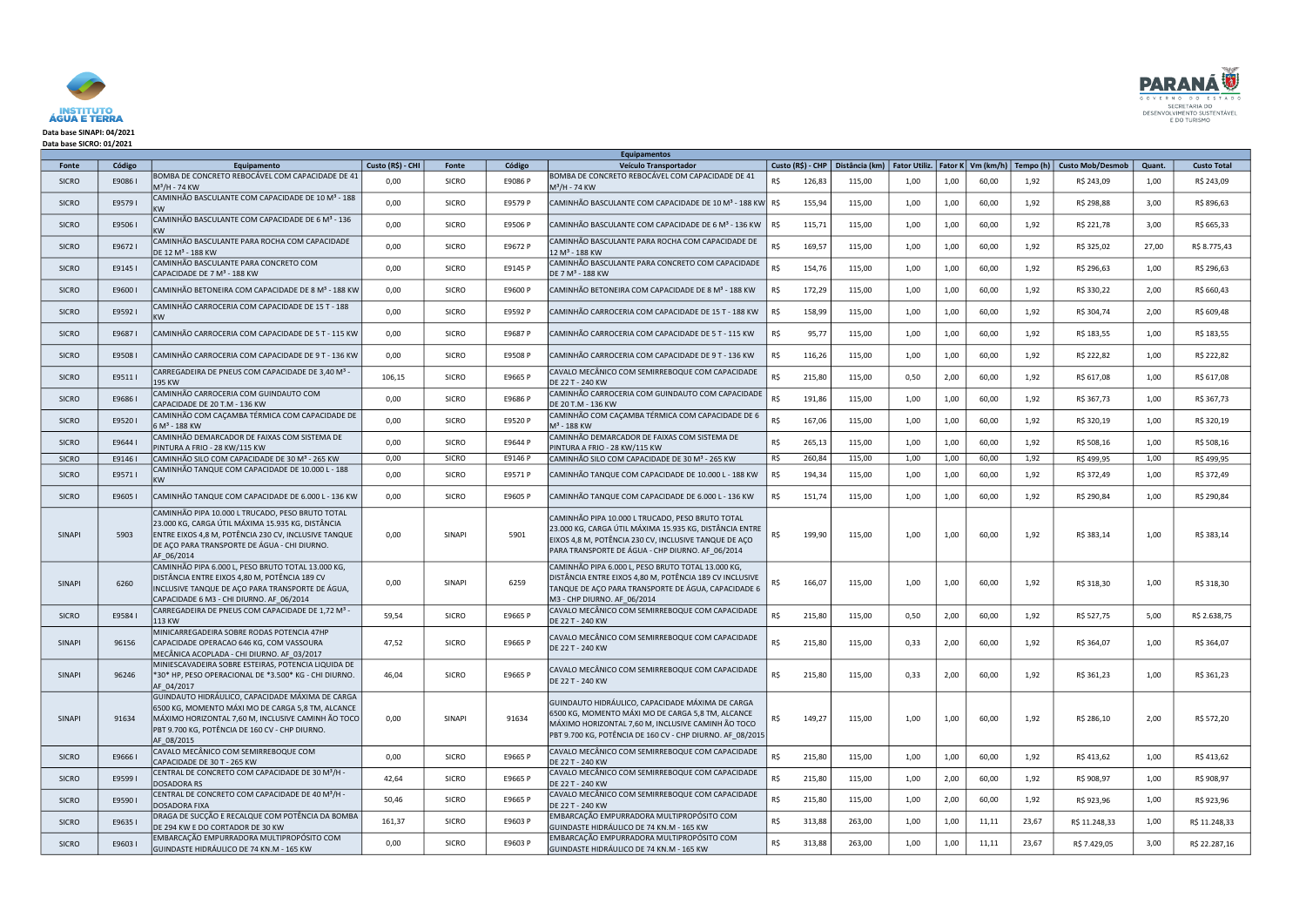

## Data base SINAPI: 04/2021 Data base SICRO: 01/2021

| <b>Equipamentos</b> |         |                                                                                                                                                                                                                             |                   |               |         |                                                                                                                                                                                                                          |     |                                                                                      |      |      |       |       |                         |        |                    |
|---------------------|---------|-----------------------------------------------------------------------------------------------------------------------------------------------------------------------------------------------------------------------------|-------------------|---------------|---------|--------------------------------------------------------------------------------------------------------------------------------------------------------------------------------------------------------------------------|-----|--------------------------------------------------------------------------------------|------|------|-------|-------|-------------------------|--------|--------------------|
| Fonte               | Código  | Equipamento                                                                                                                                                                                                                 | Custo (R\$) - CHI | Fonte         | Código  | Veículo Transportador                                                                                                                                                                                                    |     | Custo (R\$) - CHP   Distância (km)   Fator Utiliz.   Fator K   Vm (km/h)   Tempo (h) |      |      |       |       | <b>Custo Mob/Desmob</b> | Quant. | <b>Custo Total</b> |
| <b>SICRO</b>        | E90861  | BOMBA DE CONCRETO REBOCÁVEL COM CAPACIDADE DE 41<br>$M^3/H - 74$ KW                                                                                                                                                         | 0,00              | <b>SICRO</b>  | E9086 P | BOMBA DE CONCRETO REBOCÁVEL COM CAPACIDADE DE 41<br>$M^3/H - 74$ KW                                                                                                                                                      | R\$ | 126,83<br>115,00                                                                     | 1,00 | 1,00 | 60,00 | 1,92  | R\$ 243,09              | 1,00   | R\$ 243,09         |
| <b>SICRO</b>        | E95791  | CAMINHÃO BASCULANTE COM CAPACIDADE DE 10 M <sup>3</sup> - 188<br><b>KW</b>                                                                                                                                                  | 0,00              | <b>SICRO</b>  | E9579 P | CAMINHÃO BASCULANTE COM CAPACIDADE DE 10 M <sup>3</sup> - 188 KW R\$                                                                                                                                                     |     | 155,94<br>115,00                                                                     | 1,00 | 1,00 | 60,00 | 1,92  | R\$ 298,88              | 3,00   | R\$ 896,63         |
| <b>SICRO</b>        | E95061  | CAMINHÃO BASCULANTE COM CAPACIDADE DE 6 M <sup>3</sup> - 136<br><b>KW</b>                                                                                                                                                   | 0,00              | <b>SICRO</b>  | E9506 P | CAMINHÃO BASCULANTE COM CAPACIDADE DE 6 M <sup>3</sup> - 136 KW                                                                                                                                                          | R\$ | 115,71<br>115,00                                                                     | 1,00 | 1,00 | 60,00 | 1,92  | R\$ 221,78              | 3,00   | R\$ 665,33         |
| <b>SICRO</b>        | E96721  | CAMINHÃO BASCULANTE PARA ROCHA COM CAPACIDADE<br>DE 12 M <sup>3</sup> - 188 KW                                                                                                                                              | 0,00              | <b>SICRO</b>  | E9672 P | CAMINHÃO BASCULANTE PARA ROCHA COM CAPACIDADE DE<br>12 M <sup>3</sup> - 188 KW                                                                                                                                           | R\$ | 169,57<br>115,00                                                                     | 1,00 | 1,00 | 60,00 | 1,92  | R\$ 325,02              | 27,00  | R\$ 8.775,43       |
| <b>SICRO</b>        | E91451  | CAMINHÃO BASCULANTE PARA CONCRETO COM<br>CAPACIDADE DE 7 M <sup>3</sup> - 188 KW                                                                                                                                            | 0,00              | <b>SICRO</b>  | E9145 P | CAMINHÃO BASCULANTE PARA CONCRETO COM CAPACIDADE<br>DE 7 M <sup>3</sup> - 188 KW                                                                                                                                         | R\$ | 154,76<br>115,00                                                                     | 1,00 | 1,00 | 60,00 | 1,92  | R\$ 296,63              | 1,00   | R\$ 296,63         |
| <b>SICRO</b>        | E96001  | CAMINHÃO BETONEIRA COM CAPACIDADE DE 8 M <sup>3</sup> - 188 KW                                                                                                                                                              | 0,00              | <b>SICRO</b>  | E9600 P | CAMINHÃO BETONEIRA COM CAPACIDADE DE 8 M <sup>3</sup> - 188 KW                                                                                                                                                           | R\$ | 172,29<br>115,00                                                                     | 1,00 | 1,00 | 60,00 | 1,92  | R\$ 330,22              | 2,00   | R\$ 660,43         |
| <b>SICRO</b>        | E95921  | CAMINHÃO CARROCERIA COM CAPACIDADE DE 15 T - 188<br>KW                                                                                                                                                                      | 0,00              | <b>SICRO</b>  | E9592 P | CAMINHÃO CARROCERIA COM CAPACIDADE DE 15 T - 188 KW                                                                                                                                                                      | R\$ | 158,99<br>115,00                                                                     | 1,00 | 1,00 | 60,00 | 1,92  | R\$ 304,74              | 2,00   | R\$ 609,48         |
| <b>SICRO</b>        | E96871  | CAMINHÃO CARROCERIA COM CAPACIDADE DE 5 T - 115 KW                                                                                                                                                                          | 0,00              | <b>SICRO</b>  | E9687 P | CAMINHÃO CARROCERIA COM CAPACIDADE DE 5 T - 115 KW                                                                                                                                                                       | R\$ | 95,77<br>115,00                                                                      | 1,00 | 1,00 | 60,00 | 1,92  | R\$ 183,55              | 1,00   | R\$ 183,55         |
| <b>SICRO</b>        | E95081  | CAMINHÃO CARROCERIA COM CAPACIDADE DE 9 T - 136 KW                                                                                                                                                                          | 0,00              | <b>SICRO</b>  | E9508 P | CAMINHÃO CARROCERIA COM CAPACIDADE DE 9 T - 136 KW                                                                                                                                                                       | R\$ | 116,26<br>115,00                                                                     | 1,00 | 1,00 | 60,00 | 1,92  | R\$ 222,82              | 1,00   | R\$ 222,82         |
| <b>SICRO</b>        | E95111  | CARREGADEIRA DE PNEUS COM CAPACIDADE DE 3,40 M <sup>3</sup><br>195 KW                                                                                                                                                       | 106,15            | <b>SICRO</b>  | E9665 P | CAVALO MECÂNICO COM SEMIRREBOQUE COM CAPACIDADE<br>DE 22 T - 240 KW                                                                                                                                                      | R\$ | 215,80<br>115,00                                                                     | 0,50 | 2,00 | 60,00 | 1,92  | R\$ 617,08              | 1,00   | R\$ 617,08         |
| <b>SICRO</b>        | E96861  | CAMINHÃO CARROCERIA COM GUINDAUTO COM<br>CAPACIDADE DE 20 T.M - 136 KW                                                                                                                                                      | 0,00              | <b>SICRO</b>  | E9686 P | CAMINHÃO CARROCERIA COM GUINDAUTO COM CAPACIDADE<br>DE 20 T.M - 136 KW                                                                                                                                                   | R\$ | 191,86<br>115,00                                                                     | 1,00 | 1,00 | 60,00 | 1,92  | R\$ 367,73              | 1,00   | R\$ 367,73         |
| <b>SICRO</b>        | E95201  | CAMINHÃO COM CAÇAMBA TÉRMICA COM CAPACIDADE DE<br>6 M <sup>3</sup> - 188 KW                                                                                                                                                 | 0,00              | <b>SICRO</b>  | E9520 P | CAMINHÃO COM CAÇAMBA TÉRMICA COM CAPACIDADE DE 6<br>$M^3$ - 188 KW                                                                                                                                                       | R\$ | 167,06<br>115,00                                                                     | 1,00 | 1,00 | 60,00 | 1,92  | R\$ 320,19              | 1,00   | R\$ 320,19         |
| <b>SICRO</b>        | E96441  | CAMINHÃO DEMARCADOR DE FAIXAS COM SISTEMA DE<br>PINTURA A FRIO - 28 KW/115 KW                                                                                                                                               | 0,00              | <b>SICRO</b>  | E9644 P | CAMINHÃO DEMARCADOR DE FAIXAS COM SISTEMA DE<br>PINTURA A FRIO - 28 KW/115 KW                                                                                                                                            | R\$ | 265,13<br>115,00                                                                     | 1,00 | 1,00 | 60,00 | 1,92  | R\$ 508,16              | 1,00   | R\$ 508,16         |
| <b>SICRO</b>        | E9146 I | CAMINHÃO SILO COM CAPACIDADE DE 30 M <sup>3</sup> - 265 KW                                                                                                                                                                  | 0,00              | <b>SICRO</b>  | E9146 P | CAMINHÃO SILO COM CAPACIDADE DE 30 M <sup>3</sup> - 265 KW                                                                                                                                                               | R\$ | 260,84<br>115,00                                                                     | 1,00 | 1,00 | 60,00 | 1,92  | R\$499,95               | 1,00   | R\$499,95          |
| <b>SICRO</b>        | E95711  | CAMINHÃO TANQUE COM CAPACIDADE DE 10.000 L - 188<br>KW                                                                                                                                                                      | 0,00              | <b>SICRO</b>  | E9571 P | CAMINHÃO TANQUE COM CAPACIDADE DE 10.000 L - 188 KW                                                                                                                                                                      | R\$ | 194,34<br>115,00                                                                     | 1,00 | 1,00 | 60,00 | 1,92  | R\$ 372,49              | 1,00   | R\$ 372,49         |
| <b>SICRO</b>        | E96051  | CAMINHÃO TANQUE COM CAPACIDADE DE 6.000 L - 136 KW                                                                                                                                                                          | 0,00              | <b>SICRO</b>  | E9605 P | CAMINHÃO TANQUE COM CAPACIDADE DE 6.000 L - 136 KW                                                                                                                                                                       | R\$ | 151,74<br>115,00                                                                     | 1,00 | 1,00 | 60,00 | 1,92  | R\$ 290,84              | 1,00   | R\$ 290,84         |
| <b>SINAPI</b>       | 5903    | CAMINHÃO PIPA 10.000 L TRUCADO, PESO BRUTO TOTAL<br>23.000 KG, CARGA ÚTIL MÁXIMA 15.935 KG, DISTÂNCIA<br>ENTRE EIXOS 4,8 M, POTÊNCIA 230 CV, INCLUSIVE TANQUE<br>DE AÇO PARA TRANSPORTE DE ÁGUA - CHI DIURNO.<br>AF 06/2014 | 0,00              | <b>SINAPI</b> | 5901    | CAMINHÃO PIPA 10.000 L TRUCADO, PESO BRUTO TOTAL<br>23.000 KG, CARGA ÚTIL MÁXIMA 15.935 KG, DISTÂNCIA ENTRE<br>EIXOS 4,8 M, POTÊNCIA 230 CV, INCLUSIVE TANQUE DE AÇO<br>PARA TRANSPORTE DE ÁGUA - CHP DIURNO. AF_06/2014 | R\$ | 199,90<br>115,00                                                                     | 1,00 | 1,00 | 60,00 | 1,92  | R\$ 383,14              | 1,00   | R\$ 383,14         |
| <b>SINAPI</b>       | 6260    | CAMINHÃO PIPA 6.000 L, PESO BRUTO TOTAL 13.000 KG,<br>DISTÂNCIA ENTRE EIXOS 4,80 M, POTÊNCIA 189 CV<br>INCLUSIVE TANQUE DE AÇO PARA TRANSPORTE DE ÁGUA,<br>CAPACIDADE 6 M3 - CHI DIURNO. AF_06/2014                         | 0,00              | <b>SINAPI</b> | 6259    | CAMINHÃO PIPA 6.000 L, PESO BRUTO TOTAL 13.000 KG,<br>DISTÂNCIA ENTRE EIXOS 4,80 M, POTÊNCIA 189 CV INCLUSIVE<br>TANQUE DE AÇO PARA TRANSPORTE DE ÁGUA, CAPACIDADE 6<br>M3 - CHP DIURNO. AF_06/2014                      | RŚ. | 166,07<br>115,00                                                                     | 1,00 | 1,00 | 60,00 | 1,92  | R\$ 318,30              | 1,00   | R\$ 318,30         |
| <b>SICRO</b>        | E95841  | CARREGADEIRA DE PNEUS COM CAPACIDADE DE 1,72 M <sup>3</sup> -<br>113 KW                                                                                                                                                     | 59,54             | <b>SICRO</b>  | E9665 P | CAVALO MECÂNICO COM SEMIRREBOQUE COM CAPACIDADE<br>DE 22 T - 240 KW                                                                                                                                                      | R\$ | 215,80<br>115,00                                                                     | 0,50 | 2,00 | 60,00 | 1,92  | R\$ 527,75              | 5,00   | R\$ 2.638,75       |
| SINAPI              | 96156   | MINICARREGADEIRA SOBRE RODAS POTENCIA 47HP<br>CAPACIDADE OPERACAO 646 KG, COM VASSOURA<br>MECÂNICA ACOPLADA - CHI DIURNO. AF 03/2017                                                                                        | 47,52             | <b>SICRO</b>  | E9665 P | CAVALO MECÂNICO COM SEMIRREBOQUE COM CAPACIDADE<br><b>DE 22 T - 240 KW</b>                                                                                                                                               |     | 215,80<br>115,00                                                                     | 0,33 | 2,00 | 60,00 | 1,92  | R\$ 364,07              | 1,00   | R\$ 364,07         |
| SINAPI              | 96246   | MINIESCAVADEIRA SOBRE ESTEIRAS, POTENCIA LIQUIDA DE<br><sup>1</sup> 30* HP, PESO OPERACIONAL DE *3.500* KG - CHI DIURNO.<br>AF 04/2017                                                                                      | 46,04             | <b>SICRO</b>  | E9665 P | CAVALO MECÂNICO COM SEMIRREBOQUE COM CAPACIDADE<br>DE 22 T - 240 KW                                                                                                                                                      | R\$ | 215,80<br>115,00                                                                     | 0,33 | 2,00 | 60,00 | 1,92  | R\$ 361,23              | 1,00   | R\$ 361,23         |
| <b>SINAPI</b>       | 91634   | GUINDAUTO HIDRÁULICO, CAPACIDADE MÁXIMA DE CARGA<br>6500 KG, MOMENTO MÁXI MO DE CARGA 5,8 TM, ALCANCE<br>MÁXIMO HORIZONTAL 7,60 M, INCLUSIVE CAMINH ÃO TOCO<br>PBT 9.700 KG, POTÊNCIA DE 160 CV - CHP DIURNO.<br>AF 08/2015 | 0,00              | <b>SINAPI</b> | 91634   | GUINDAUTO HIDRÁULICO, CAPACIDADE MÁXIMA DE CARGA<br>6500 KG, MOMENTO MÁXI MO DE CARGA 5,8 TM, ALCANCE<br>MÁXIMO HORIZONTAL 7,60 M, INCLUSIVE CAMINH ÃO TOCO<br>PBT 9.700 KG, POTÊNCIA DE 160 CV - CHP DIURNO. AF_08/2015 | R\$ | 149,27<br>115,00                                                                     | 1,00 | 1,00 | 60,00 | 1,92  | R\$ 286,10              | 2,00   | R\$ 572,20         |
| <b>SICRO</b>        | E96661  | CAVALO MECÂNICO COM SEMIRREBOQUE COM<br>CAPACIDADE DE 30 T - 265 KW                                                                                                                                                         | 0,00              | <b>SICRO</b>  | E9665 P | CAVALO MECÂNICO COM SEMIRREBOQUE COM CAPACIDADE<br>DE 22 T - 240 KW                                                                                                                                                      | R\$ | 215,80<br>115,00                                                                     | 1,00 | 1,00 | 60,00 | 1,92  | R\$413,62               | 1,00   | R\$413,62          |
| <b>SICRO</b>        | E95991  | CENTRAL DE CONCRETO COM CAPACIDADE DE 30 M <sup>3</sup> /H -<br><b>DOSADORA RS</b>                                                                                                                                          | 42,64             | <b>SICRO</b>  | E9665 P | CAVALO MECÂNICO COM SEMIRREBOQUE COM CAPACIDADE<br>DE 22 T - 240 KW                                                                                                                                                      | R\$ | 215,80<br>115,00                                                                     | 1,00 | 2,00 | 60,00 | 1,92  | R\$ 908,97              | 1,00   | R\$ 908,97         |
| <b>SICRO</b>        | E95901  | CENTRAL DE CONCRETO COM CAPACIDADE DE 40 M <sup>3</sup> /H -<br>DOSADORA FIXA                                                                                                                                               | 50,46             | <b>SICRO</b>  | E9665 P | CAVALO MECÂNICO COM SEMIRREBOQUE COM CAPACIDADE<br>DE 22 T - 240 KW                                                                                                                                                      | R\$ | 215,80<br>115,00                                                                     | 1,00 | 2,00 | 60,00 | 1,92  | R\$ 923,96              | 1,00   | R\$ 923,96         |
| <b>SICRO</b>        | E96351  | DRAGA DE SUCÇÃO E RECALQUE COM POTÊNCIA DA BOMBA<br>DE 294 KW E DO CORTADOR DE 30 KW                                                                                                                                        | 161,37            | <b>SICRO</b>  | E9603 P | EMBARCAÇÃO EMPURRADORA MULTIPROPÓSITO COM<br>GUINDASTE HIDRÁULICO DE 74 KN.M - 165 KW                                                                                                                                    | R\$ | 313,88<br>263,00                                                                     | 1,00 | 1,00 | 11,11 | 23,67 | R\$ 11.248,33           | 1,00   | R\$ 11.248,33      |
| <b>SICRO</b>        | E96031  | EMBARCAÇÃO EMPURRADORA MULTIPROPÓSITO COM<br>GUINDASTE HIDRÁULICO DE 74 KN.M - 165 KW                                                                                                                                       | 0,00              | <b>SICRO</b>  | E9603 P | EMBARCAÇÃO EMPURRADORA MULTIPROPÓSITO COM<br>GUINDASTE HIDRÁULICO DE 74 KN.M - 165 KW                                                                                                                                    | R\$ | 313,88<br>263,00                                                                     | 1,00 | 1,00 | 11,11 | 23,67 | R\$ 7.429,05            | 3,00   | R\$ 22.287,16      |

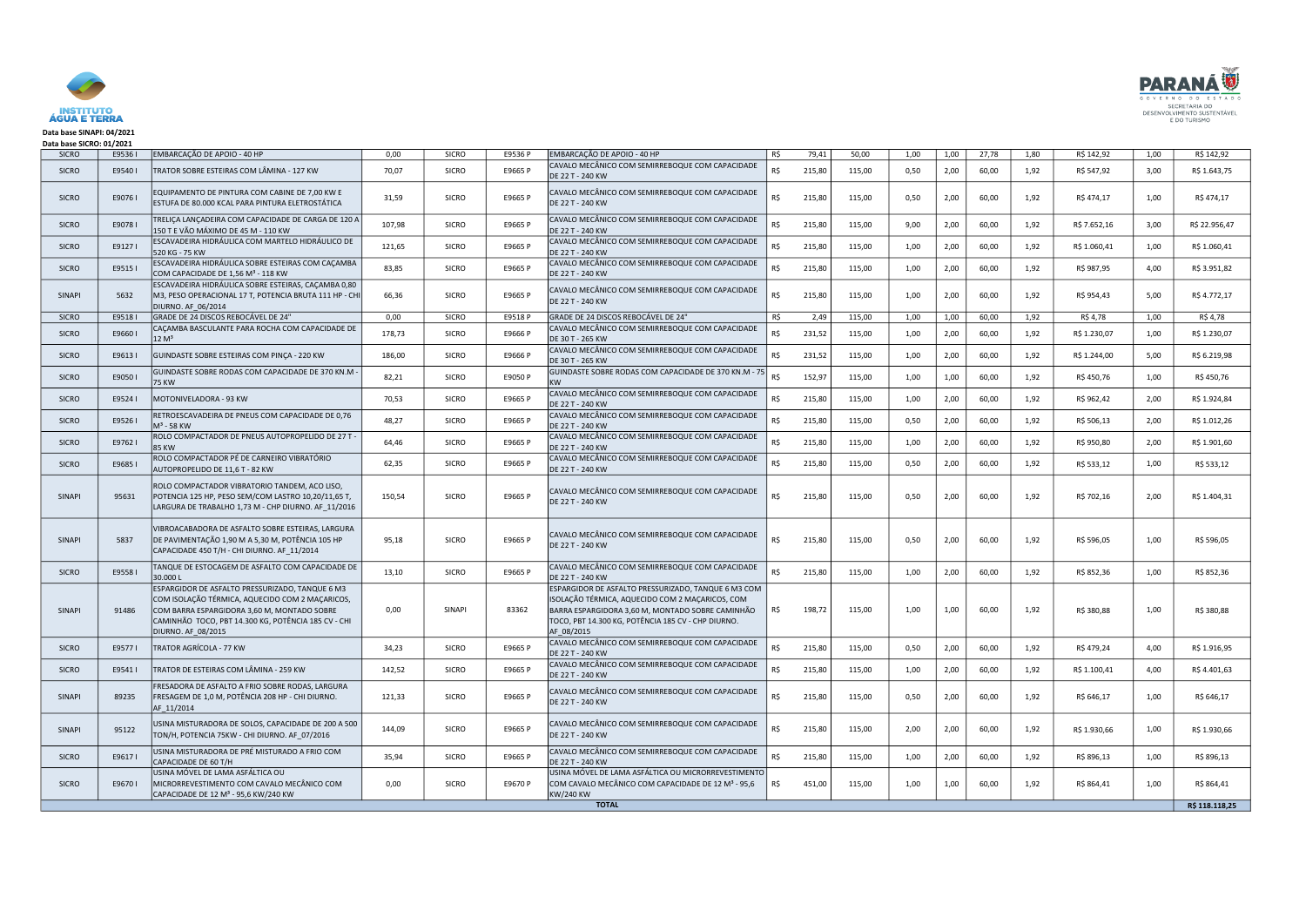

## Data base SINAPI: 04/2021 Data base SICRO: 01/2021

| <b>SICRO</b>  | E95361 | EMBARCAÇÃO DE APOIO - 40 HP                                                                                                                                                                                                    | 0,00   | <b>SICRO</b>  | E9536 P | EMBARCAÇÃO DE APOIO - 40 HP                                                                                                                                                                                                    | R\$ | 79,41  | 50,00  | 1,00 | 1,00 | 27,78 | 1,80 | R\$ 142,92   | 1,00 | R\$ 142,92     |
|---------------|--------|--------------------------------------------------------------------------------------------------------------------------------------------------------------------------------------------------------------------------------|--------|---------------|---------|--------------------------------------------------------------------------------------------------------------------------------------------------------------------------------------------------------------------------------|-----|--------|--------|------|------|-------|------|--------------|------|----------------|
| <b>SICRO</b>  | E95401 | TRATOR SOBRE ESTEIRAS COM LÂMINA - 127 KW                                                                                                                                                                                      | 70,07  | <b>SICRO</b>  | E9665 P | CAVALO MECÂNICO COM SEMIRREBOQUE COM CAPACIDADE<br>DE 22 T - 240 KW                                                                                                                                                            | R\$ | 215,80 | 115,00 | 0,50 | 2,00 | 60,00 | 1,92 | R\$ 547,92   | 3,00 | R\$ 1.643,75   |
| <b>SICRO</b>  | E90761 | EQUIPAMENTO DE PINTURA COM CABINE DE 7,00 KW E<br>ESTUFA DE 80.000 KCAL PARA PINTURA ELETROSTÁTICA                                                                                                                             | 31,59  | <b>SICRO</b>  | E9665 P | CAVALO MECÂNICO COM SEMIRREBOQUE COM CAPACIDADE<br>DE 22 T - 240 KW                                                                                                                                                            | R\$ | 215,80 | 115,00 | 0,50 | 2,00 | 60,00 | 1,92 | R\$ 474,17   | 1,00 | R\$ 474,17     |
| <b>SICRO</b>  | E90781 | TRELIÇA LANÇADEIRA COM CAPACIDADE DE CARGA DE 120 A<br>150 T E VÃO MÁXIMO DE 45 M - 110 KW                                                                                                                                     | 107,98 | <b>SICRO</b>  | E9665 P | CAVALO MECÂNICO COM SEMIRREBOQUE COM CAPACIDADE<br>DE 22 T - 240 KW                                                                                                                                                            | R\$ | 215,80 | 115,00 | 9,00 | 2,00 | 60,00 | 1,92 | R\$ 7.652,16 | 3,00 | R\$ 22.956,47  |
| <b>SICRO</b>  | E91271 | ESCAVADEIRA HIDRÁULICA COM MARTELO HIDRÁULICO DE<br>520 KG - 75 KW                                                                                                                                                             | 121,65 | <b>SICRO</b>  | E9665 P | CAVALO MECÂNICO COM SEMIRREBOQUE COM CAPACIDADE<br>DE 22 T - 240 KW                                                                                                                                                            | R\$ | 215,80 | 115,00 | 1,00 | 2,00 | 60,00 | 1,92 | R\$ 1.060,41 | 1,00 | R\$ 1.060,41   |
| <b>SICRO</b>  | E95151 | ESCAVADEIRA HIDRÁULICA SOBRE ESTEIRAS COM CAÇAMBA<br>COM CAPACIDADE DE 1,56 M <sup>3</sup> - 118 KW                                                                                                                            | 83,85  | <b>SICRO</b>  | E9665 P | CAVALO MECÂNICO COM SEMIRREBOQUE COM CAPACIDADE<br>DE 22 T - 240 KW                                                                                                                                                            | R\$ | 215,80 | 115,00 | 1,00 | 2,00 | 60,00 | 1,92 | R\$ 987,95   | 4,00 | R\$ 3.951,82   |
| <b>SINAPI</b> | 5632   | ESCAVADEIRA HIDRÁULICA SOBRE ESTEIRAS, CAÇAMBA 0,80<br>M3, PESO OPERACIONAL 17 T, POTENCIA BRUTA 111 HP - CHI<br>DIURNO. AF_06/2014                                                                                            | 66,36  | <b>SICRO</b>  | E9665 P | CAVALO MECÂNICO COM SEMIRREBOQUE COM CAPACIDADE<br>DE 22 T - 240 KW                                                                                                                                                            | RŚ. | 215,80 | 115,00 | 1,00 | 2,00 | 60,00 | 1,92 | R\$ 954,43   | 5,00 | R\$ 4.772,17   |
| <b>SICRO</b>  | E95181 | GRADE DE 24 DISCOS REBOCÁVEL DE 24"                                                                                                                                                                                            | 0,00   | <b>SICRO</b>  | E9518 P | GRADE DE 24 DISCOS REBOCÁVEL DE 24"                                                                                                                                                                                            | R\$ | 2,49   | 115,00 | 1,00 | 1,00 | 60,00 | 1,92 | R\$4,78      | 1,00 | R\$ 4,78       |
| <b>SICRO</b>  | E96601 | CAÇAMBA BASCULANTE PARA ROCHA COM CAPACIDADE DE<br>12 M <sup>3</sup>                                                                                                                                                           | 178,73 | <b>SICRO</b>  | E9666 P | CAVALO MECÂNICO COM SEMIRREBOQUE COM CAPACIDADE<br>DE 30 T - 265 KW                                                                                                                                                            | R\$ | 231,52 | 115,00 | 1,00 | 2,00 | 60,00 | 1,92 | R\$ 1.230,07 | 1,00 | R\$ 1.230,07   |
| <b>SICRO</b>  | E96131 | GUINDASTE SOBRE ESTEIRAS COM PINÇA - 220 KW                                                                                                                                                                                    | 186,00 | <b>SICRO</b>  | E9666 P | CAVALO MECÂNICO COM SEMIRREBOQUE COM CAPACIDADE<br>DE 30 T - 265 KW                                                                                                                                                            | R\$ | 231,52 | 115,00 | 1,00 | 2,00 | 60,00 | 1,92 | R\$ 1.244,00 | 5,00 | R\$ 6.219,98   |
| <b>SICRO</b>  | E90501 | GUINDASTE SOBRE RODAS COM CAPACIDADE DE 370 KN.M<br><b>75 KW</b>                                                                                                                                                               | 82,21  | <b>SICRO</b>  | E9050 P | GUINDASTE SOBRE RODAS COM CAPACIDADE DE 370 KN.M - 75<br><b>KW</b>                                                                                                                                                             | R\$ | 152,97 | 115,00 | 1,00 | 1,00 | 60,00 | 1,92 | R\$ 450,76   | 1,00 | R\$450,76      |
| <b>SICRO</b>  | E95241 | MOTONIVELADORA - 93 KW                                                                                                                                                                                                         | 70,53  | <b>SICRO</b>  | E9665 P | CAVALO MECÂNICO COM SEMIRREBOQUE COM CAPACIDADE<br>DE 22 T - 240 KW                                                                                                                                                            | R\$ | 215,80 | 115,00 | 1,00 | 2,00 | 60,00 | 1,92 | R\$ 962,42   | 2,00 | R\$ 1.924,84   |
| <b>SICRO</b>  | E95261 | RETROESCAVADEIRA DE PNEUS COM CAPACIDADE DE 0,76<br>M <sup>3</sup> - 58 KW                                                                                                                                                     | 48,27  | <b>SICRO</b>  | E9665 P | CAVALO MECÂNICO COM SEMIRREBOQUE COM CAPACIDADE<br>DE 22 T - 240 KW                                                                                                                                                            | R\$ | 215,80 | 115,00 | 0,50 | 2,00 | 60,00 | 1,92 | R\$ 506,13   | 2,00 | R\$ 1.012,26   |
| <b>SICRO</b>  | E97621 | ROLO COMPACTADOR DE PNEUS AUTOPROPELIDO DE 27 T -<br><b>85 KW</b>                                                                                                                                                              | 64,46  | <b>SICRO</b>  | E9665 P | CAVALO MECÂNICO COM SEMIRREBOQUE COM CAPACIDADE<br>DE 22 T - 240 KW                                                                                                                                                            | R\$ | 215,80 | 115,00 | 1,00 | 2,00 | 60,00 | 1,92 | R\$ 950,80   | 2,00 | R\$ 1.901,60   |
| <b>SICRO</b>  | E9685  | ROLO COMPACTADOR PÉ DE CARNEIRO VIBRATÓRIO<br>AUTOPROPELIDO DE 11,6 T - 82 KW                                                                                                                                                  | 62,35  | <b>SICRO</b>  | E9665 P | CAVALO MECÂNICO COM SEMIRREBOQUE COM CAPACIDADE<br>DE 22 T - 240 KW                                                                                                                                                            | R\$ | 215,80 | 115,00 | 0,50 | 2,00 | 60,00 | 1,92 | R\$ 533,12   | 1,00 | R\$ 533,12     |
| <b>SINAPI</b> | 95631  | ROLO COMPACTADOR VIBRATORIO TANDEM, ACO LISO,<br>POTENCIA 125 HP, PESO SEM/COM LASTRO 10,20/11,65 T,<br>LARGURA DE TRABALHO 1,73 M - CHP DIURNO. AF_11/2016                                                                    | 150,54 | <b>SICRO</b>  | E9665 P | CAVALO MECÂNICO COM SEMIRREBOQUE COM CAPACIDADE<br>DE 22 T - 240 KW                                                                                                                                                            | R\$ | 215,80 | 115,00 | 0,50 | 2,00 | 60,00 | 1,92 | R\$ 702,16   | 2,00 | R\$ 1.404,31   |
| <b>SINAPI</b> | 5837   | VIBROACABADORA DE ASFALTO SOBRE ESTEIRAS, LARGURA<br>DE PAVIMENTAÇÃO 1,90 M A 5,30 M, POTÊNCIA 105 HP<br>CAPACIDADE 450 T/H - CHI DIURNO. AF_11/2014                                                                           | 95,18  | <b>SICRO</b>  | E9665 P | CAVALO MECÂNICO COM SEMIRREBOQUE COM CAPACIDADE<br>DE 22 T - 240 KW                                                                                                                                                            | R\$ | 215,80 | 115,00 | 0,50 | 2,00 | 60,00 | 1,92 | R\$ 596,05   | 1,00 | R\$ 596,05     |
| <b>SICRO</b>  | E95581 | TANQUE DE ESTOCAGEM DE ASFALTO COM CAPACIDADE DE<br>30.000L                                                                                                                                                                    | 13,10  | <b>SICRO</b>  | E9665 P | CAVALO MECÂNICO COM SEMIRREBOQUE COM CAPACIDADE<br>DE 22 T - 240 KW                                                                                                                                                            | RŚ. | 215,80 | 115,00 | 1,00 | 2,00 | 60,00 | 1,92 | R\$ 852,36   | 1,00 | R\$ 852,36     |
| <b>SINAPI</b> | 91486  | ESPARGIDOR DE ASFALTO PRESSURIZADO, TANQUE 6 M3<br>COM ISOLAÇÃO TÉRMICA, AQUECIDO COM 2 MAÇARICOS,<br>COM BARRA ESPARGIDORA 3,60 M, MONTADO SOBRE<br>CAMINHÃO TOCO, PBT 14.300 KG, POTÊNCIA 185 CV - CHI<br>DIURNO. AF_08/2015 | 0,00   | <b>SINAPI</b> | 83362   | ESPARGIDOR DE ASFALTO PRESSURIZADO, TANQUE 6 M3 COM<br>ISOLAÇÃO TÉRMICA, AQUECIDO COM 2 MAÇARICOS, COM<br>BARRA ESPARGIDORA 3,60 M, MONTADO SOBRE CAMINHÃO<br>TOCO, PBT 14.300 KG, POTÊNCIA 185 CV - CHP DIURNO.<br>AF 08/2015 | R\$ | 198,72 | 115,00 | 1,00 | 1,00 | 60,00 | 1,92 | R\$ 380,88   | 1,00 | R\$ 380,88     |
| <b>SICRO</b>  | E95771 | TRATOR AGRÍCOLA - 77 KW                                                                                                                                                                                                        | 34,23  | <b>SICRO</b>  | E9665 P | CAVALO MECÂNICO COM SEMIRREBOQUE COM CAPACIDADE<br>DE 22 T - 240 KW                                                                                                                                                            | R\$ | 215,80 | 115,00 | 0,50 | 2,00 | 60,00 | 1,92 | R\$479,24    | 4,00 | R\$ 1.916,95   |
| <b>SICRO</b>  | E95411 | TRATOR DE ESTEIRAS COM LÂMINA - 259 KW                                                                                                                                                                                         | 142,52 | <b>SICRO</b>  | E9665 P | CAVALO MECÂNICO COM SEMIRREBOQUE COM CAPACIDADE<br>DE 22 T - 240 KW                                                                                                                                                            | R\$ | 215,80 | 115,00 | 1,00 | 2,00 | 60,00 | 1,92 | R\$ 1.100,41 | 4,00 | R\$4.401,63    |
| <b>SINAPI</b> | 89235  | FRESADORA DE ASFALTO A FRIO SOBRE RODAS, LARGURA<br>FRESAGEM DE 1,0 M, POTÊNCIA 208 HP - CHI DIURNO.<br>AF_11/2014                                                                                                             | 121,33 | <b>SICRO</b>  | E9665 P | CAVALO MECÂNICO COM SEMIRREBOQUE COM CAPACIDADE<br>DE 22 T - 240 KW                                                                                                                                                            | RŚ. | 215,80 | 115,00 | 0,50 | 2,00 | 60,00 | 1,92 | R\$ 646,17   | 1,00 | R\$ 646,17     |
| <b>SINAPI</b> | 95122  | USINA MISTURADORA DE SOLOS, CAPACIDADE DE 200 A 500<br>TON/H, POTENCIA 75KW - CHI DIURNO. AF_07/2016                                                                                                                           | 144,09 | <b>SICRO</b>  | E9665 P | CAVALO MECÂNICO COM SEMIRREBOQUE COM CAPACIDADE<br>DE 22 T - 240 KW                                                                                                                                                            | R\$ | 215,80 | 115,00 | 2,00 | 2,00 | 60,00 | 1,92 | R\$ 1.930,66 | 1,00 | R\$ 1.930,66   |
| <b>SICRO</b>  | E96171 | USINA MISTURADORA DE PRÉ MISTURADO A FRIO COM<br>CAPACIDADE DE 60 T/H                                                                                                                                                          | 35,94  | <b>SICRO</b>  | E9665 P | CAVALO MECÂNICO COM SEMIRREBOQUE COM CAPACIDADE<br>DE 22 T - 240 KW                                                                                                                                                            | R\$ | 215,80 | 115,00 | 1,00 | 2,00 | 60,00 | 1,92 | R\$ 896,13   | 1,00 | R\$ 896,13     |
| <b>SICRO</b>  | E96701 | USINA MÓVEL DE LAMA ASFÁLTICA OU<br>MICRORREVESTIMENTO COM CAVALO MECÂNICO COM<br>CAPACIDADE DE 12 M <sup>3</sup> - 95,6 KW/240 KW                                                                                             | 0,00   | <b>SICRO</b>  | E9670 P | USINA MÓVEL DE LAMA ASFÁLTICA OU MICRORREVESTIMENTO<br>COM CAVALO MECÂNICO COM CAPACIDADE DE 12 Mª - 95,6<br>KW/240 KW                                                                                                         | R\$ | 451,00 | 115,00 | 1,00 | 1,00 | 60,00 | 1,92 | R\$ 864,41   | 1,00 | R\$ 864,41     |
|               |        |                                                                                                                                                                                                                                |        |               |         | <b>TOTAL</b>                                                                                                                                                                                                                   |     |        |        |      |      |       |      |              |      | R\$ 118.118,25 |